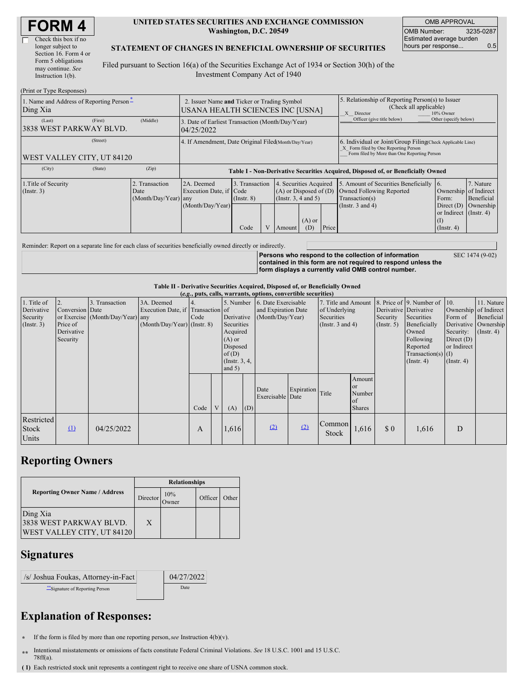| <b>FORM4</b> |
|--------------|
|--------------|

 $\Gamma$ 

| Check this box if no  |
|-----------------------|
| longer subject to     |
| Section 16. Form 4 or |
| Form 5 obligations    |
| may continue. See     |
| Instruction $1(b)$ .  |
|                       |

#### **UNITED STATES SECURITIES AND EXCHANGE COMMISSION Washington, D.C. 20549**

OMB APPROVAL OMB Number: 3235-0287 Estimated average burden hours per response... 0.5

#### **STATEMENT OF CHANGES IN BENEFICIAL OWNERSHIP OF SECURITIES**

Filed pursuant to Section 16(a) of the Securities Exchange Act of 1934 or Section 30(h) of the Investment Company Act of 1940

| (Print or Type Responses)                            |                                                                                 |                                                                                  |                                           |  |                                                                                       |                 |                                                                                                                                                    |                                                                                                             |                                                                                                            |                                      |
|------------------------------------------------------|---------------------------------------------------------------------------------|----------------------------------------------------------------------------------|-------------------------------------------|--|---------------------------------------------------------------------------------------|-----------------|----------------------------------------------------------------------------------------------------------------------------------------------------|-------------------------------------------------------------------------------------------------------------|------------------------------------------------------------------------------------------------------------|--------------------------------------|
| 1. Name and Address of Reporting Person-<br>Ding Xia | 2. Issuer Name and Ticker or Trading Symbol<br>USANA HEALTH SCIENCES INC [USNA] |                                                                                  |                                           |  |                                                                                       |                 | 5. Relationship of Reporting Person(s) to Issuer<br>(Check all applicable)<br>X Director<br>10% Owner                                              |                                                                                                             |                                                                                                            |                                      |
| (First)<br>(Last)<br>3838 WEST PARKWAY BLVD.         | (Middle)                                                                        | 3. Date of Earliest Transaction (Month/Day/Year)<br>04/25/2022                   |                                           |  |                                                                                       |                 |                                                                                                                                                    | Officer (give title below)                                                                                  | Other (specify below)                                                                                      |                                      |
| (Street)<br>WEST VALLEY CITY, UT 84120               | 4. If Amendment, Date Original Filed(Month/Day/Year)                            |                                                                                  |                                           |  |                                                                                       |                 | 6. Individual or Joint/Group Filing Check Applicable Line)<br>X Form filed by One Reporting Person<br>Form filed by More than One Reporting Person |                                                                                                             |                                                                                                            |                                      |
| (City)<br>(State)                                    | (Zip)                                                                           | Table I - Non-Derivative Securities Acquired, Disposed of, or Beneficially Owned |                                           |  |                                                                                       |                 |                                                                                                                                                    |                                                                                                             |                                                                                                            |                                      |
| 1. Title of Security<br>$($ Instr. 3 $)$             | 2. Transaction<br>Date<br>$(Month/Day/Year)$ any                                | 2A. Deemed<br>Execution Date, if Code<br>(Month/Day/Year)                        | 3. Transaction<br>$($ Instr. $8)$<br>Code |  | 4. Securities Acquired<br>$(A)$ or Disposed of $(D)$<br>(Instr. 3, 4 and 5)<br>Amount | $(A)$ or<br>(D) | Price                                                                                                                                              | 5. Amount of Securities Beneficially<br>Owned Following Reported<br>Transaction(s)<br>(Instr. $3$ and $4$ ) | 16.<br>Ownership of Indirect<br>Form:<br>Direct $(D)$<br>or Indirect (Instr. 4)<br>(I)<br>$($ Instr. 4 $)$ | 7. Nature<br>Beneficial<br>Ownership |

Reminder: Report on a separate line for each class of securities beneficially owned directly or indirectly.

**Persons who respond to the collection of information contained in this form are not required to respond unless the form displays a currently valid OMB control number.** SEC 1474 (9-02)

**Table II - Derivative Securities Acquired, Disposed of, or Beneficially Owned**

| (e.g., puts, calls, warrants, options, convertible securities) |                                                             |                                                    |                                                                                  |      |   |                                                                                                         |     |                                                                          |                  |                                                                             |                                               |                              |                                                                                                                                                                                |                                                                                                  |                                                                      |
|----------------------------------------------------------------|-------------------------------------------------------------|----------------------------------------------------|----------------------------------------------------------------------------------|------|---|---------------------------------------------------------------------------------------------------------|-----|--------------------------------------------------------------------------|------------------|-----------------------------------------------------------------------------|-----------------------------------------------|------------------------------|--------------------------------------------------------------------------------------------------------------------------------------------------------------------------------|--------------------------------------------------------------------------------------------------|----------------------------------------------------------------------|
| 1. Title of<br>Derivative<br>Security<br>$($ Instr. 3 $)$      | 2.<br>Conversion Date<br>Price of<br>Derivative<br>Security | 3. Transaction<br>or Exercise (Month/Day/Year) any | 3A. Deemed<br>Execution Date, if Transaction of<br>$(Month/Day/Year)$ (Instr. 8) | Code |   | Derivative<br>Securities<br>Acquired<br>$(A)$ or<br>Disposed<br>of $(D)$<br>(Instr. $3, 4,$<br>and $5)$ |     | 5. Number 6. Date Exercisable<br>and Expiration Date<br>(Month/Day/Year) |                  | 7. Title and Amount<br>of Underlying<br>Securities<br>(Instr. $3$ and $4$ ) |                                               | Security<br>$($ Instr. 5 $)$ | 8. Price of $\vert$ 9. Number of $\vert$ 10.<br>Derivative Derivative<br>Securities<br>Beneficially<br>Owned<br>Following<br>Reported<br>Transaction(s) $(I)$<br>$($ Instr. 4) | Ownership of Indirect<br>Form of<br>Security:<br>Direct $(D)$<br>or Indirect<br>$($ Instr. 4 $)$ | 11. Nature<br>Beneficial<br>Derivative Ownership<br>$($ Instr. 4 $)$ |
|                                                                |                                                             |                                                    |                                                                                  | Code | V | (A)                                                                                                     | (D) | Date<br>Exercisable Date                                                 | Expiration Title |                                                                             | Amount<br>or<br>Number<br>of<br><b>Shares</b> |                              |                                                                                                                                                                                |                                                                                                  |                                                                      |
| Restricted<br>Stock<br>Units                                   | $\mathbf{r}$                                                | 04/25/2022                                         |                                                                                  | A    |   | 1,616                                                                                                   |     | (2)                                                                      | (2)              | Common<br>Stock                                                             | 1,616                                         | \$0                          | 1,616                                                                                                                                                                          | D                                                                                                |                                                                      |

## **Reporting Owners**

|                                                                   | <b>Relationships</b> |                      |         |       |  |  |  |  |
|-------------------------------------------------------------------|----------------------|----------------------|---------|-------|--|--|--|--|
| <b>Reporting Owner Name / Address</b>                             | Director             | 10%<br><b>J</b> wner | Officer | Other |  |  |  |  |
| Ding Xia<br>3838 WEST PARKWAY BLVD.<br>WEST VALLEY CITY, UT 84120 | X                    |                      |         |       |  |  |  |  |

## **Signatures**

| /s/ Joshua Foukas, Attorney-in-Fact | 04/27/2022 |
|-------------------------------------|------------|
| "Signature of Reporting Person      | Date       |

# **Explanation of Responses:**

**\*** If the form is filed by more than one reporting person,*see* Instruction 4(b)(v).

**\*\*** Intentional misstatements or omissions of facts constitute Federal Criminal Violations. *See* 18 U.S.C. 1001 and 15 U.S.C. 78ff(a).

**<sup>(</sup> 1)** Each restricted stock unit represents a contingent right to receive one share of USNA common stock.